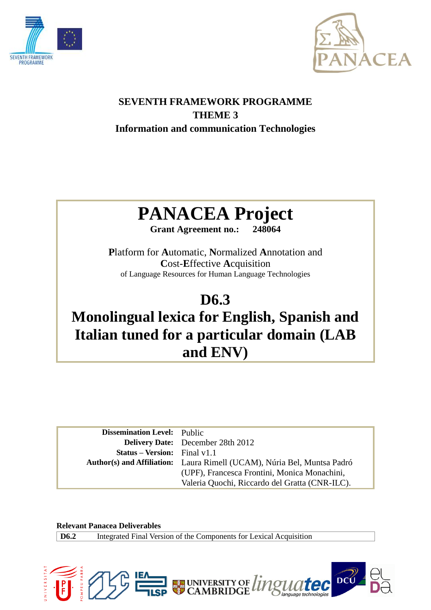



## **SEVENTH FRAMEWORK PROGRAMME THEME 3 Information and communication Technologies**

# **PANACEA Project**

**Grant Agreement no.: 248064**

**P**latform for **A**utomatic, **N**ormalized **A**nnotation and **C**ost-**E**ffective **A**cquisition of Language Resources for Human Language Technologies

## **D6.3**

## **Monolingual lexica for English, Spanish and Italian tuned for a particular domain (LAB and ENV)**

| <b>Dissemination Level:</b> Public  |                                                                         |
|-------------------------------------|-------------------------------------------------------------------------|
|                                     | <b>Delivery Date:</b> December 28th 2012                                |
| <b>Status – Version:</b> Final v1.1 |                                                                         |
|                                     | Author(s) and Affiliation: Laura Rimell (UCAM), Núria Bel, Muntsa Padró |
|                                     | (UPF), Francesca Frontini, Monica Monachini,                            |
|                                     | Valeria Quochi, Riccardo del Gratta (CNR-ILC).                          |

**Relevant Panacea Deliverables**

**D6.2** Integrated Final Version of the Components for Lexical Acquisition

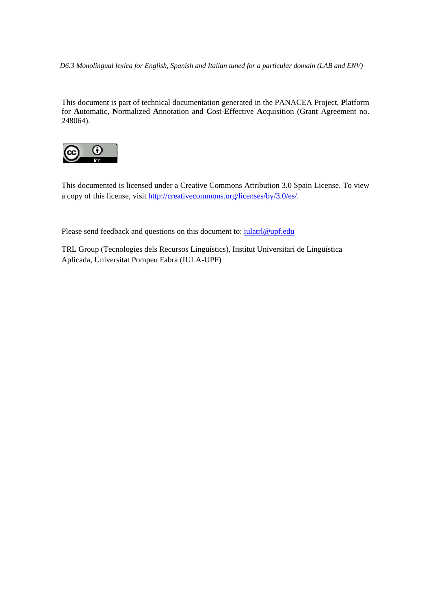*D6.3 Monolingual lexica for English, Spanish and Italian tuned for a particular domain (LAB and ENV)*

This document is part of technical documentation generated in the PANACEA Project, **P**latform for **A**utomatic, **N**ormalized **A**nnotation and **C**ost-**E**ffective **A**cquisition (Grant Agreement no. 248064).



This documented is licensed under a Creative Commons Attribution 3.0 Spain License. To view a copy of this license, visit http://creativecommons.org/licenses/by/3.0/es/.

Please send feedback and questions on this document to: iulatrl@upf.edu

TRL Group (Tecnologies dels Recursos Lingüístics), Institut Universitari de Lingüística Aplicada, Universitat Pompeu Fabra (IULA-UPF)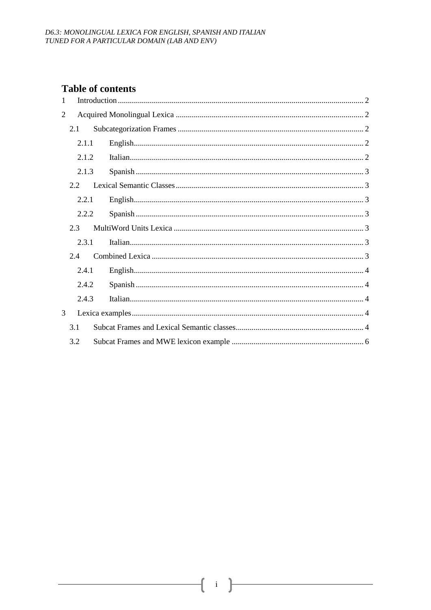## <span id="page-2-0"></span>**Table of contents**

<span id="page-2-4"></span><span id="page-2-3"></span><span id="page-2-2"></span><span id="page-2-1"></span>

| 1              |       |  |  |  |
|----------------|-------|--|--|--|
| $\overline{2}$ |       |  |  |  |
|                | 2.1   |  |  |  |
|                | 2.1.1 |  |  |  |
|                | 2.1.2 |  |  |  |
|                | 2.1.3 |  |  |  |
|                | 2.2   |  |  |  |
|                | 2.2.1 |  |  |  |
|                | 2.2.2 |  |  |  |
|                | 2.3   |  |  |  |
|                | 2.3.1 |  |  |  |
|                | 2.4   |  |  |  |
|                | 2.4.1 |  |  |  |
|                | 2.4.2 |  |  |  |
|                | 2.4.3 |  |  |  |
| 3              |       |  |  |  |
|                | 3.1   |  |  |  |
|                | 3.2   |  |  |  |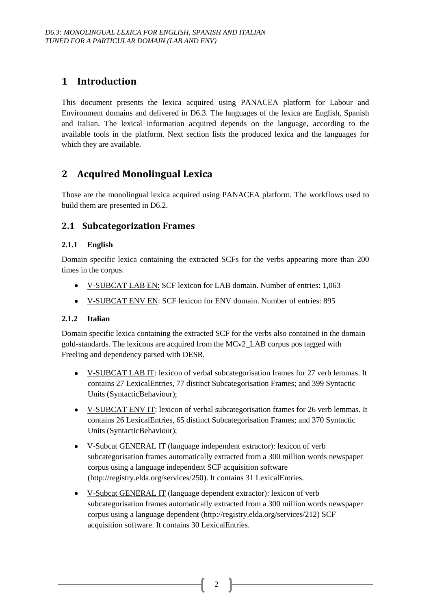## <span id="page-3-0"></span>**1 Introduction**

This document presents the lexica acquired using PANACEA platform for Labour and Environment domains and delivered in D6.3. The languages of the lexica are English, Spanish and Italian. The lexical information acquired depends on the language, according to the available tools in the platform. Next section lists the produced lexica and the languages for which they are available.

## <span id="page-3-1"></span>**2 Acquired Monolingual Lexica**

<span id="page-3-2"></span>Those are the monolingual lexica acquired using PANACEA platform. The workflows used to build them are presented in D6.2.

### **2.1 Subcategorization Frames**

#### **2.1.1 English**

Domain specific lexica containing the extracted SCFs for the verbs appearing more than 200 times in the corpus.

- V-SUBCAT LAB EN: SCF lexicon for LAB domain. Number of entries: 1,063
- <span id="page-3-3"></span>V-SUBCAT ENV EN: SCF lexicon for ENV domain. Number of entries: 895

#### **2.1.2 Italian**

Domain specific lexica containing the extracted SCF for the verbs also contained in the domain gold-standards. The lexicons are acquired from the MCv2\_LAB corpus pos tagged with Freeling and dependency parsed with DESR.

- <span id="page-3-4"></span> $\bullet$ V-SUBCAT LAB IT: lexicon of verbal subcategorisation frames for 27 verb lemmas. It contains 27 LexicalEntries, 77 distinct Subcategorisation Frames; and 399 Syntactic Units (SyntacticBehaviour);
- <span id="page-3-5"></span>• V-SUBCAT ENV IT: lexicon of verbal subcategorisation frames for 26 verb lemmas. It contains 26 LexicalEntries, 65 distinct Subcategorisation Frames; and 370 Syntactic Units (SyntacticBehaviour);
- V-Subcat GENERAL IT (language independent extractor): lexicon of verb subcategorisation frames automatically extracted from a 300 million words newspaper corpus using a language independent SCF acquisition software (http://registry.elda.org/services/250). It contains 31 LexicalEntries.
- <span id="page-3-6"></span>• V-Subcat GENERAL IT (language dependent extractor): lexicon of verb subcategorisation frames automatically extracted from a 300 million words newspaper corpus using a language dependent (http://registry.elda.org/services/212) SCF acquisition software. It contains 30 LexicalEntries.

2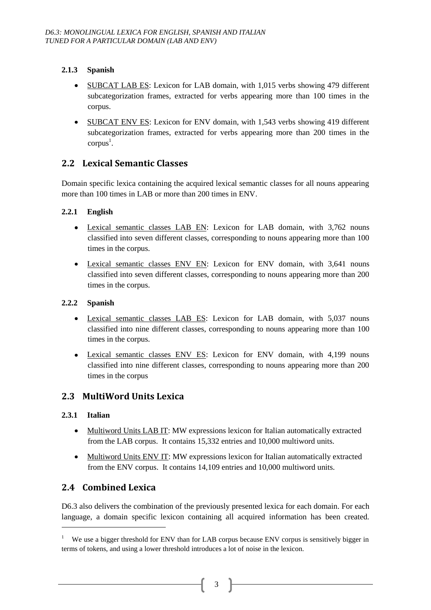#### **2.1.3 Spanish**

- <span id="page-4-0"></span>SUBCAT LAB ES: Lexicon for LAB domain, with 1,015 verbs showing 479 different subcategorization frames, extracted for verbs appearing more than 100 times in the corpus.
- SUBCAT ENV ES: Lexicon for ENV domain, with 1,543 verbs showing 419 different subcategorization frames, extracted for verbs appearing more than 200 times in the  $corpus<sup>1</sup>$ .

## **2.2 Lexical Semantic Classes**

<span id="page-4-1"></span>Domain specific lexica containing the acquired lexical semantic classes for all nouns appearing more than 100 times in LAB or more than 200 times in ENV.

#### **2.2.1 English**

- Lexical semantic classes LAB EN: Lexicon for LAB domain, with 3,762 nouns classified into seven different classes, corresponding to nouns appearing more than 100 times in the corpus.
- <span id="page-4-2"></span>Lexical semantic classes ENV EN: Lexicon for ENV domain, with 3,641 nouns classified into seven different classes, corresponding to nouns appearing more than 200 times in the corpus.

#### **2.2.2 Spanish**

- Lexical semantic classes LAB ES: Lexicon for LAB domain, with 5,037 nouns classified into nine different classes, corresponding to nouns appearing more than 100 times in the corpus.
- <span id="page-4-3"></span>Lexical semantic classes ENV ES: Lexicon for ENV domain, with 4,199 nouns classified into nine different classes, corresponding to nouns appearing more than 200 times in the corpus

### **2.3 MultiWord Units Lexica**

#### <span id="page-4-4"></span>**2.3.1 Italian**

-

- Multiword Units LAB IT: MW expressions lexicon for Italian automatically extracted from the LAB corpus. It contains 15,332 entries and 10,000 multiword units.
- Multiword Units ENV IT: MW expressions lexicon for Italian automatically extracted from the ENV corpus. It contains 14,109 entries and 10,000 multiword units.

## **2.4 Combined Lexica**

D6.3 also delivers the combination of the previously presented lexica for each domain. For each language, a domain specific lexicon containing all acquired information has been created.

<sup>&</sup>lt;sup>1</sup> We use a bigger threshold for ENV than for LAB corpus because ENV corpus is sensitively bigger in terms of tokens, and using a lower threshold introduces a lot of noise in the lexicon.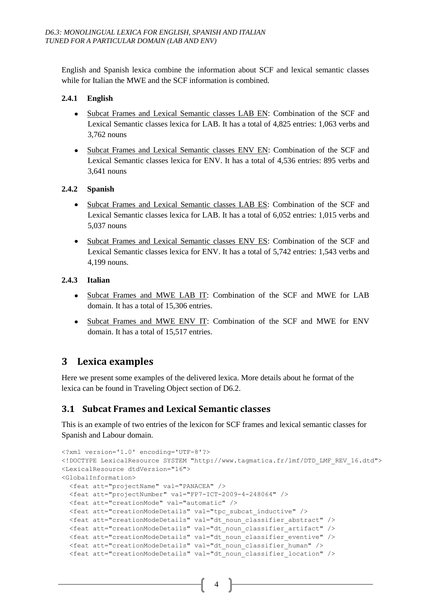English and Spanish lexica combine the information about SCF and lexical semantic classes while for Italian the MWE and the SCF information is combined.

#### **2.4.1 English**

- Subcat Frames and Lexical Semantic classes LAB EN: Combination of the SCF and Lexical Semantic classes lexica for LAB. It has a total of 4,825 entries: 1,063 verbs and 3,762 nouns
- Subcat Frames and Lexical Semantic classes ENV EN: Combination of the SCF and Lexical Semantic classes lexica for ENV. It has a total of 4,536 entries: 895 verbs and 3,641 nouns

#### **2.4.2 Spanish**

- Subcat Frames and Lexical Semantic classes LAB ES: Combination of the SCF and Lexical Semantic classes lexica for LAB. It has a total of 6,052 entries: 1,015 verbs and 5,037 nouns
- Subcat Frames and Lexical Semantic classes ENV ES: Combination of the SCF and Lexical Semantic classes lexica for ENV. It has a total of 5,742 entries: 1,543 verbs and 4,199 nouns.

#### **2.4.3 Italian**

- Subcat Frames and MWE LAB IT: Combination of the SCF and MWE for LAB domain. It has a total of 15,306 entries.
- Subcat Frames and MWE ENV IT: Combination of the SCF and MWE for ENV domain. It has a total of 15,517 entries.

## **3 Lexica examples**

Here we present some examples of the delivered lexica. More details about he format of the lexica can be found in Traveling Object section of D6.2.

#### **3.1 Subcat Frames and Lexical Semantic classes**

This is an example of two entries of the lexicon for SCF frames and lexical semantic classes for Spanish and Labour domain.

```
<?xml version='1.0' encoding='UTF-8'?>
<!DOCTYPE LexicalResource SYSTEM "http://www.tagmatica.fr/lmf/DTD_LMF_REV_16.dtd"> 
<LexicalResource dtdVersion="16">
<GlobalInformation>
  <feat att="projectName" val="PANACEA" />
  <feat att="projectNumber" val="FP7-ICT-2009-4-248064" />
  <feat att="creationMode" val="automatic" />
  <feat att="creationModeDetails" val="tpc_subcat_inductive" />
  <feat att="creationModeDetails" val="dt_noun_classifier_abstract" />
  <feat att="creationModeDetails" val="dt_noun_classifier_artifact" />
  <feat att="creationModeDetails" val="dt_noun_classifier_eventive" />
  <feat att="creationModeDetails" val="dt_noun_classifier_human" />
  <feat att="creationModeDetails" val="dt_noun_classifier_location" />
```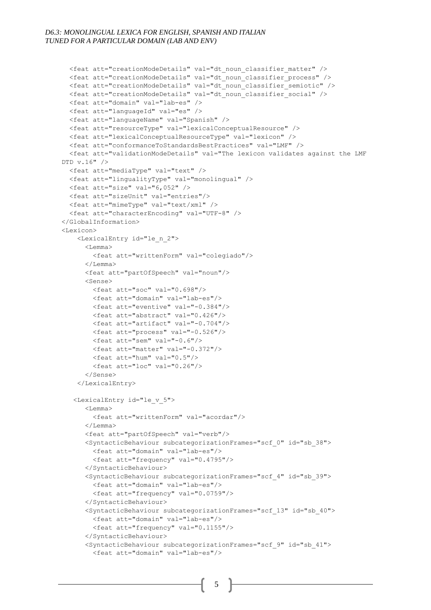```
 <feat att="creationModeDetails" val="dt_noun_classifier_matter" />
   <feat att="creationModeDetails" val="dt_noun_classifier_process" />
   <feat att="creationModeDetails" val="dt_noun_classifier_semiotic" />
   <feat att="creationModeDetails" val="dt_noun_classifier_social" />
   <feat att="domain" val="lab-es" />
   <feat att="languageId" val="es" />
   <feat att="languageName" val="Spanish" />
   <feat att="resourceType" val="lexicalConceptualResource" />
   <feat att="lexicalConceptualResourceType" val="lexicon" />
   <feat att="conformanceToStandardsBestPractices" val="LMF" />
   <feat att="validationModeDetails" val="The lexicon validates against the LMF 
DTD v.16" />
   <feat att="mediaType" val="text" />
  <feat att="lingualityType" val="monolingual" />
   <feat att="size" val="6,052" /> 
   <feat att="sizeUnit" val="entries"/>
   <feat att="mimeType" val="text/xml" />
   <feat att="characterEncoding" val="UTF-8" />
</GlobalInformation>
<Lexicon>
     <LexicalEntry id="le_n_2">
       <Lemma>
         <feat att="writtenForm" val="colegiado"/>
       </Lemma>
       <feat att="partOfSpeech" val="noun"/>
       <Sense>
         <feat att="soc" val="0.698"/>
         <feat att="domain" val="lab-es"/>
         <feat att="eventive" val="-0.384"/>
         <feat att="abstract" val="0.426"/>
         <feat att="artifact" val="-0.704"/>
         <feat att="process" val="-0.526"/>
         <feat att="sem" val="-0.6"/>
         <feat att="matter" val="-0.372"/>
         <feat att="hum" val="0.5"/>
         <feat att="loc" val="0.26"/>
       </Sense>
     </LexicalEntry>
    <LexicalEntry id="le_v_5">
       <Lemma>
         <feat att="writtenForm" val="acordar"/>
       </Lemma>
       <feat att="partOfSpeech" val="verb"/>
       <SyntacticBehaviour subcategorizationFrames="scf_0" id="sb_38">
         <feat att="domain" val="lab-es"/>
         <feat att="frequency" val="0.4795"/>
       </SyntacticBehaviour>
       <SyntacticBehaviour subcategorizationFrames="scf_4" id="sb_39">
         <feat att="domain" val="lab-es"/>
         <feat att="frequency" val="0.0759"/>
       </SyntacticBehaviour>
       <SyntacticBehaviour subcategorizationFrames="scf_13" id="sb_40">
         <feat att="domain" val="lab-es"/>
         <feat att="frequency" val="0.1155"/>
       </SyntacticBehaviour>
       <SyntacticBehaviour subcategorizationFrames="scf_9" id="sb_41">
         <feat att="domain" val="lab-es"/>
```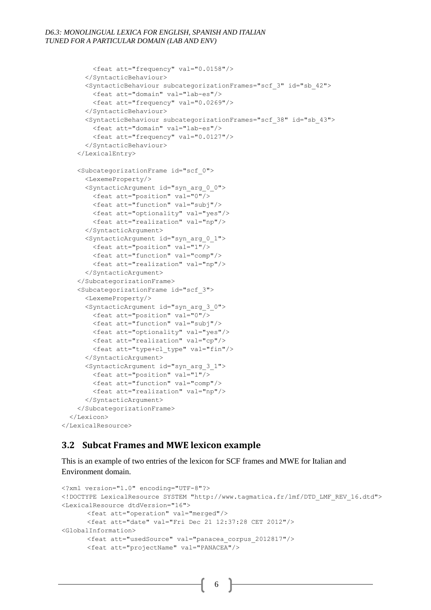```
 <feat att="frequency" val="0.0158"/>
       </SyntacticBehaviour>
       <SyntacticBehaviour subcategorizationFrames="scf_3" id="sb_42">
         <feat att="domain" val="lab-es"/>
         <feat att="frequency" val="0.0269"/>
       </SyntacticBehaviour>
       <SyntacticBehaviour subcategorizationFrames="scf_38" id="sb_43">
         <feat att="domain" val="lab-es"/>
         <feat att="frequency" val="0.0127"/>
       </SyntacticBehaviour>
     </LexicalEntry>
     <SubcategorizationFrame id="scf_0">
       <LexemeProperty/>
       <SyntacticArgument id="syn_arg_0_0">
         <feat att="position" val="0"/>
         <feat att="function" val="subj"/>
         <feat att="optionality" val="yes"/>
         <feat att="realization" val="np"/>
       </SyntacticArgument>
       <SyntacticArgument id="syn_arg_0_1">
         <feat att="position" val="1"/>
         <feat att="function" val="comp"/>
         <feat att="realization" val="np"/>
       </SyntacticArgument>
     </SubcategorizationFrame>
     <SubcategorizationFrame id="scf_3">
       <LexemeProperty/>
       <SyntacticArgument id="syn_arg_3_0">
         <feat att="position" val="0"/>
         <feat att="function" val="subj"/>
         <feat att="optionality" val="yes"/>
         <feat att="realization" val="cp"/>
         <feat att="type+cl_type" val="fin"/>
       </SyntacticArgument>
       <SyntacticArgument id="syn_arg_3_1">
         <feat att="position" val="1"/>
         <feat att="function" val="comp"/>
         <feat att="realization" val="np"/>
       </SyntacticArgument>
     </SubcategorizationFrame>
   </Lexicon>
</LexicalResource>
```
#### **3.2 Subcat Frames and MWE lexicon example**

This is an example of two entries of the lexicon for SCF frames and MWE for Italian and Environment domain.

```
<?xml version="1.0" encoding="UTF-8"?> 
<!DOCTYPE LexicalResource SYSTEM "http://www.tagmatica.fr/lmf/DTD_LMF_REV_16.dtd"> 
<LexicalResource dtdVersion="16"> 
      <feat att="operation" val="merged"/>
      <feat att="date" val="Fri Dec 21 12:37:28 CET 2012"/>
<GlobalInformation> 
      <feat att="usedSource" val="panacea_corpus_2012817"/>
      <feat att="projectName" val="PANACEA"/>
```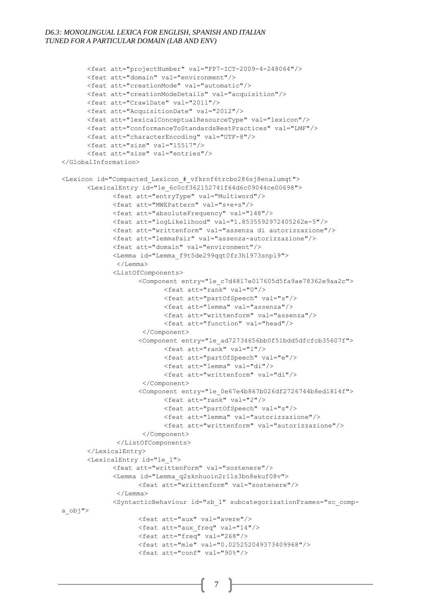```
<feat att="projectNumber" val="FP7-ICT-2009-4-248064"/>
      <feat att="domain" val="environment"/>
      <feat att="creationMode" val="automatic"/>
      <feat att="creationModeDetails" val="acquisition"/>
      <feat att="CrawlDate" val="2011"/>
      <feat att="AcquisitionDate" val="2012"/>
      <feat att="lexicalConceptualResourceType" val="lexicon"/>
      <feat att="conformanceToStandardsBestPractices" val="LMF"/>
      <feat att="characterEncoding" val="UTF-8"/>
      <feat att="size" val="15517"/>
      <feat att="size" val="entries"/>
</GlobalInformation>
<Lexicon id="Compacted_Lexicon_#_vfkrnf6trcbo286sj8enalumqt"> 
      <LexicalEntry id="le_6c0cf362152741f64d6c09044ce00698"> 
             <feat att="entryType" val="Multiword"/>
             <feat att="MWEPattern" val="s+e+s"/>
             <feat att="absoluteFrequency" val="148"/>
             <feat att="logLikelihood" val="1.8535592972405262e-5"/>
             <feat att="writtenform" val="assenza di autorizzazione"/>
             <feat att="lemmaPair" val="assenza-autorizzazione"/>
             <feat att="domain" val="environment"/>
             <Lemma id="Lemma_f9t5de299qqt0fr3h1973snpl9"> 
              </Lemma> 
             <ListOfComponents> 
                    <Component entry="le_c7d4817e017605d5fa9ae78362e9aa2c"> 
                          <feat att="rank" val="0"/>
                          <feat att="partOfSpeech" val="s"/>
                          <feat att="lemma" val="assenza"/>
                          <feat att="writtenform" val="assenza"/>
                          <feat att="function" val="head"/>
                    </Component>
                    <Component entry="le_ad72734656bb0f51bdd5dfcfcb35607f"> 
                          <feat att="rank" val="1"/>
                          <feat att="partOfSpeech" val="e"/>
                          <feat att="lemma" val="di"/>
                          <feat att="writtenform" val="di"/>
                    </Component>
                    <Component entry="le_0e67e4b867b026df2726744b8ed1814f"> 
                          <feat att="rank" val="2"/>
                          <feat att="partOfSpeech" val="s"/>
                          <feat att="lemma" val="autorizzazione"/>
                          <feat att="writtenform" val="autorizzazione"/>
                     </Component>
              </ListOfComponents>
      </LexicalEntry>
      <LexicalEntry id="le_1"> 
             <feat att="writtenForm" val="sostenere"/>
             <Lemma id="Lemma_q2sknhuoin2r1ls3bn8ekuf08v"> 
                   <feat att="writtenform" val="sostenere"/>
              </Lemma> 
             <SyntacticBehaviour id="sb_1" subcategorizationFrames="sc_comp-
a_obj"> 
                   <feat att="aux" val="avere"/>
                   <feat att="aux_freq" val="14"/>
                   <feat att="freq" val="268"/>
                   <feat att="mle" val="0.025252049373409968"/>
                   <feat att="conf" val="90%"/>
```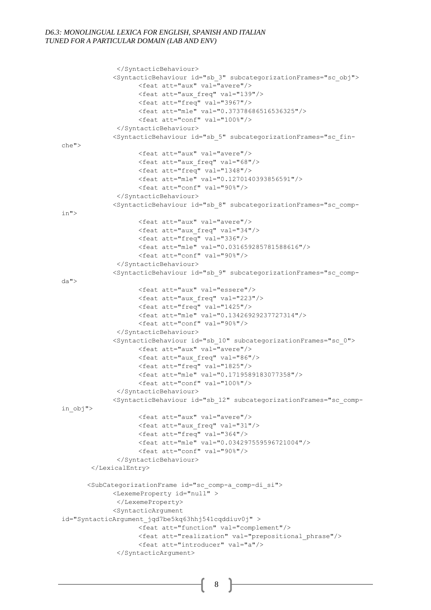```
</SyntacticBehaviour>
             <SyntacticBehaviour id="sb_3" subcategorizationFrames="sc_obj"> 
                    <feat att="aux" val="avere"/>
                    <feat att="aux_freq" val="139"/>
                   <feat att="freq" val="3967"/>
                   <feat att="mle" val="0.37378686516536325"/>
                    <feat att="conf" val="100%"/>
              </SyntacticBehaviour>
             <SyntacticBehaviour id="sb_5" subcategorizationFrames="sc_fin-
che"> 
                    <feat att="aux" val="avere"/>
                    <feat att="aux_freq" val="68"/>
                    <feat att="freq" val="1348"/>
                    <feat att="mle" val="0.1270140393856591"/>
                    <feat att="conf" val="90%"/>
              </SyntacticBehaviour>
             <SyntacticBehaviour id="sb_8" subcategorizationFrames="sc_comp-
in"> 
                    <feat att="aux" val="avere"/>
                   <feat att="aux_freq" val="34"/>
                   <feat att="freq" val="336"/>
                    <feat att="mle" val="0.031659285781588616"/>
                    <feat att="conf" val="90%"/>
              </SyntacticBehaviour>
             <SyntacticBehaviour id="sb_9" subcategorizationFrames="sc_comp-
da"> 
                    <feat att="aux" val="essere"/>
                   <feat att="aux_freq" val="223"/>
                   <feat att="freq" val="1425"/>
                    <feat att="mle" val="0.13426929237727314"/>
                   <feat att="conf" val="90%"/>
              </SyntacticBehaviour>
             <SyntacticBehaviour id="sb_10" subcategorizationFrames="sc_0"> 
                    <feat att="aux" val="avere"/>
                    <feat att="aux_freq" val="86"/>
                    <feat att="freq" val="1825"/>
                    <feat att="mle" val="0.1719589183077358"/>
                    <feat att="conf" val="100%"/>
              </SyntacticBehaviour>
             <SyntacticBehaviour id="sb_12" subcategorizationFrames="sc_comp-
in_obj"> 
                   <feat att="aux" val="avere"/>
                   <feat att="aux_freq" val="31"/>
                    <feat att="freq" val="364"/>
                   <feat att="mle" val="0.034297559596721004"/>
                    <feat att="conf" val="90%"/>
              </SyntacticBehaviour>
       </LexicalEntry>
      <SubCategorizationFrame id="sc_comp-a_comp-di_si"> 
             <LexemeProperty id="null" > 
              </LexemeProperty>
             <SyntacticArgument 
id="SyntacticArgument_jqd7be5kq63hhj541cqddiuv0j" > 
                   <feat att="function" val="complement"/>
                    <feat att="realization" val="prepositional_phrase"/>
                   <feat att="introducer" val="a"/>
              </SyntacticArgument>
```